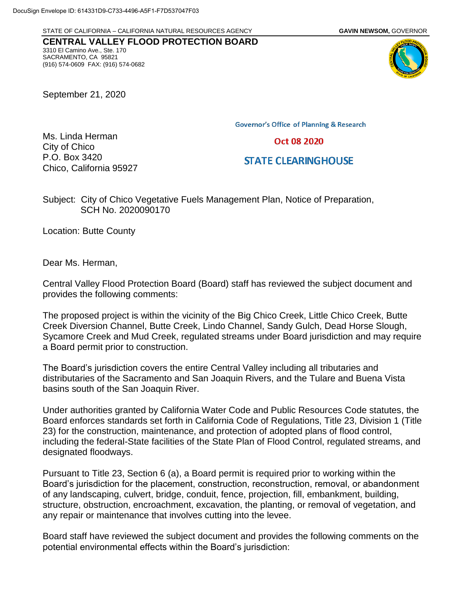STATE OF CALIFORNIA – CALIFORNIA NATURAL RESOURCES AGENCY **GAVIN NEWSOM,** GOVERNOR

**CENTRAL VALLEY FLOOD PROTECTION BOARD** 3310 El Camino Ave., Ste. 170 SACRAMENTO, CA 95821 (916) 574-0609 FAX: (916) 574-0682

September 21, 2020

Ms. Linda Herman

City of Chico P.O. Box 3420 **Governor's Office of Planning & Research** 

Oct 08 2020

**STATE CLEARINGHOUSE** 

Subject: City of Chico Vegetative Fuels Management Plan, Notice of Preparation, SCH No. 2020090170

Location: Butte County

Chico, California 95927

Dear Ms. Herman,

Central Valley Flood Protection Board (Board) staff has reviewed the subject document and provides the following comments:

The proposed project is within the vicinity of the Big Chico Creek, Little Chico Creek, Butte Creek Diversion Channel, Butte Creek, Lindo Channel, Sandy Gulch, Dead Horse Slough, Sycamore Creek and Mud Creek, regulated streams under Board jurisdiction and may require a Board permit prior to construction.

The Board's jurisdiction covers the entire Central Valley including all tributaries and distributaries of the Sacramento and San Joaquin Rivers, and the Tulare and Buena Vista basins south of the San Joaquin River.

Under authorities granted by California Water Code and Public Resources Code statutes, the Board enforces standards set forth in California Code of Regulations, Title 23, Division 1 (Title 23) for the construction, maintenance, and protection of adopted plans of flood control, including the federal-State facilities of the State Plan of Flood Control, regulated streams, and designated floodways.

Pursuant to Title 23, Section 6 (a), a Board permit is required prior to working within the Board's jurisdiction for the placement, construction, reconstruction, removal, or abandonment of any landscaping, culvert, bridge, conduit, fence, projection, fill, embankment, building, structure, obstruction, encroachment, excavation, the planting, or removal of vegetation, and any repair or maintenance that involves cutting into the levee.

Board staff have reviewed the subject document and provides the following comments on the potential environmental effects within the Board's jurisdiction:

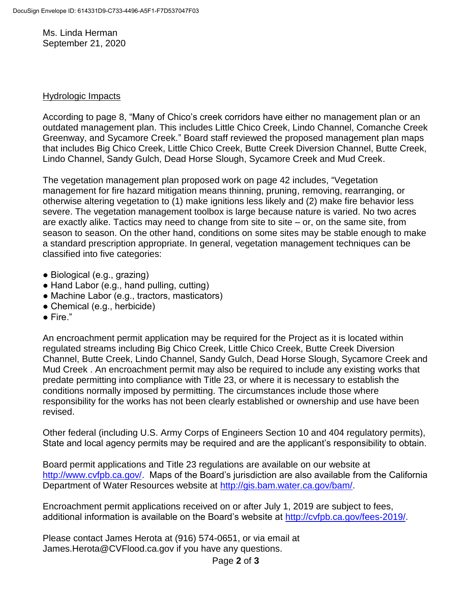Ms. Linda Herman September 21, 2020

## Hydrologic Impacts

According to page 8, "Many of Chico's creek corridors have either no management plan or an outdated management plan. This includes Little Chico Creek, Lindo Channel, Comanche Creek Greenway, and Sycamore Creek." Board staff reviewed the proposed management plan maps that includes Big Chico Creek, Little Chico Creek, Butte Creek Diversion Channel, Butte Creek, Lindo Channel, Sandy Gulch, Dead Horse Slough, Sycamore Creek and Mud Creek.

The vegetation management plan proposed work on page 42 includes, "Vegetation management for fire hazard mitigation means thinning, pruning, removing, rearranging, or otherwise altering vegetation to (1) make ignitions less likely and (2) make fire behavior less severe. The vegetation management toolbox is large because nature is varied. No two acres are exactly alike. Tactics may need to change from site to site – or, on the same site, from season to season. On the other hand, conditions on some sites may be stable enough to make a standard prescription appropriate. In general, vegetation management techniques can be classified into five categories:

- Biological (e.g., grazing)
- Hand Labor (e.g., hand pulling, cutting)
- Machine Labor (e.g., tractors, masticators)
- Chemical (e.g., herbicide)
- $\bullet$  Fire."

An encroachment permit application may be required for the Project as it is located within regulated streams including Big Chico Creek, Little Chico Creek, Butte Creek Diversion Channel, Butte Creek, Lindo Channel, Sandy Gulch, Dead Horse Slough, Sycamore Creek and Mud Creek . An encroachment permit may also be required to include any existing works that predate permitting into compliance with Title 23, or where it is necessary to establish the conditions normally imposed by permitting. The circumstances include those where responsibility for the works has not been clearly established or ownership and use have been revised.

Other federal (including U.S. Army Corps of Engineers Section 10 and 404 regulatory permits), State and local agency permits may be required and are the applicant's responsibility to obtain.

Board permit applications and Title 23 regulations are available on our website at [http://www.cvfpb.ca.gov/.](http://www.cvfpb.ca.gov/) Maps of the Board's jurisdiction are also available from the California Department of Water Resources website at [http://gis.bam.water.ca.gov/bam/.](http://gis.bam.water.ca.gov/bam/)

Encroachment permit applications received on or after July 1, 2019 are subject to fees, additional information is available on the Board's website at [http://cvfpb.ca.gov/fees-2019/.](http://cvfpb.ca.gov/fees-2019/)

Please contact James Herota at (916) 574-0651, or via email at James.Herota@CVFlood.ca.gov if you have any questions.

Page **2** of **3**